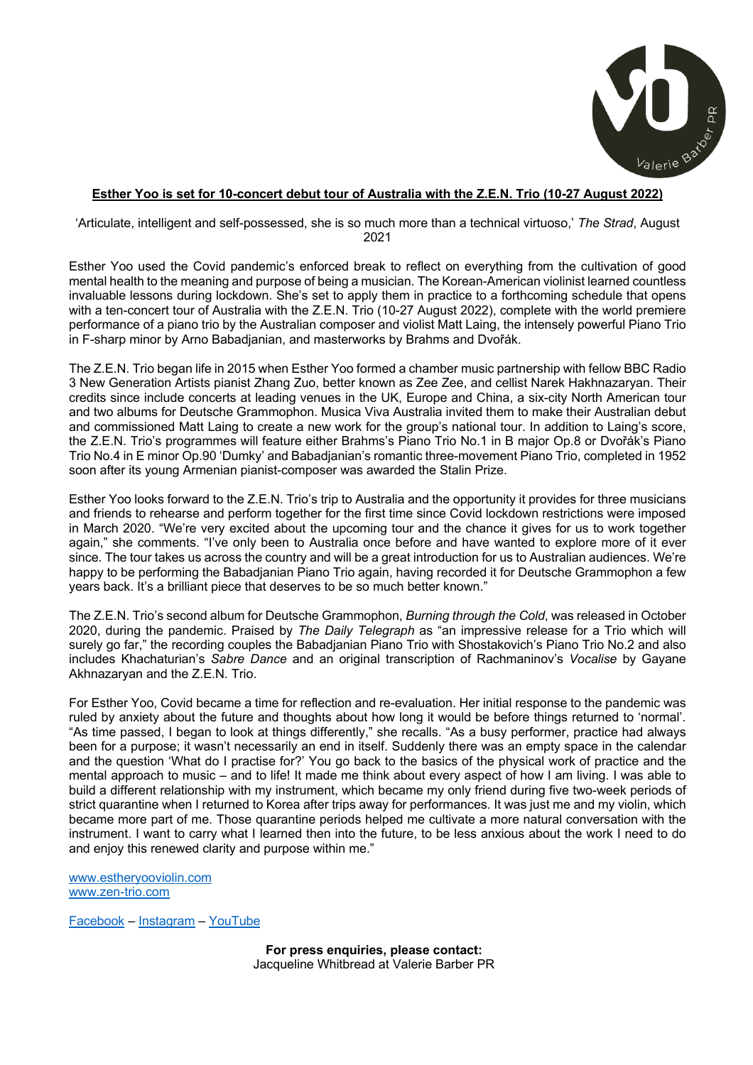

## **Esther Yoo is set for 10-concert debut tour of Australia with the Z.E.N. Trio (10-27 August 2022)**

'Articulate, intelligent and self-possessed, she is so much more than a technical virtuoso,' *The Strad*, August 2021

Esther Yoo used the Covid pandemic's enforced break to reflect on everything from the cultivation of good mental health to the meaning and purpose of being a musician. The Korean-American violinist learned countless invaluable lessons during lockdown. She's set to apply them in practice to a forthcoming schedule that opens with a ten-concert tour of Australia with the Z.E.N. Trio (10-27 August 2022), complete with the world premiere performance of a piano trio by the Australian composer and violist Matt Laing, the intensely powerful Piano Trio in F-sharp minor by Arno Babadjanian, and masterworks by Brahms and Dvořák.

The Z.E.N. Trio began life in 2015 when Esther Yoo formed a chamber music partnership with fellow BBC Radio 3 New Generation Artists pianist Zhang Zuo, better known as Zee Zee, and cellist Narek Hakhnazaryan. Their credits since include concerts at leading venues in the UK, Europe and China, a six-city North American tour and two albums for Deutsche Grammophon. Musica Viva Australia invited them to make their Australian debut and commissioned Matt Laing to create a new work for the group's national tour. In addition to Laing's score, the Z.E.N. Trio's programmes will feature either Brahms's Piano Trio No.1 in B major Op.8 or Dvořák's Piano Trio No.4 in E minor Op.90 'Dumky' and Babadjanian's romantic three-movement Piano Trio, completed in 1952 soon after its young Armenian pianist-composer was awarded the Stalin Prize.

Esther Yoo looks forward to the Z.E.N. Trio's trip to Australia and the opportunity it provides for three musicians and friends to rehearse and perform together for the first time since Covid lockdown restrictions were imposed in March 2020. "We're very excited about the upcoming tour and the chance it gives for us to work together again," she comments. "I've only been to Australia once before and have wanted to explore more of it ever since. The tour takes us across the country and will be a great introduction for us to Australian audiences. We're happy to be performing the Babadjanian Piano Trio again, having recorded it for Deutsche Grammophon a few years back. It's a brilliant piece that deserves to be so much better known."

The Z.E.N. Trio's second album for Deutsche Grammophon, *Burning through the Cold*, was released in October 2020, during the pandemic. Praised by *The Daily Telegraph* as "an impressive release for a Trio which will surely go far," the recording couples the Babadjanian Piano Trio with Shostakovich's Piano Trio No.2 and also includes Khachaturian's *Sabre Dance* and an original transcription of Rachmaninov's *Vocalise* by Gayane Akhnazaryan and the Z.E.N. Trio.

For Esther Yoo, Covid became a time for reflection and re-evaluation. Her initial response to the pandemic was ruled by anxiety about the future and thoughts about how long it would be before things returned to 'normal'. "As time passed, I began to look at things differently," she recalls. "As a busy performer, practice had always been for a purpose; it wasn't necessarily an end in itself. Suddenly there was an empty space in the calendar and the question 'What do I practise for?' You go back to the basics of the physical work of practice and the mental approach to music – and to life! It made me think about every aspect of how I am living. I was able to build a different relationship with my instrument, which became my only friend during five two-week periods of strict quarantine when I returned to Korea after trips away for performances. It was just me and my violin, which became more part of me. Those quarantine periods helped me cultivate a more natural conversation with the instrument. I want to carry what I learned then into the future, to be less anxious about the work I need to do and enjoy this renewed clarity and purpose within me."

www.estheryooviolin.com www.zen-trio.com

Facebook – Instagram – YouTube

**For press enquiries, please contact:** Jacqueline Whitbread at Valerie Barber PR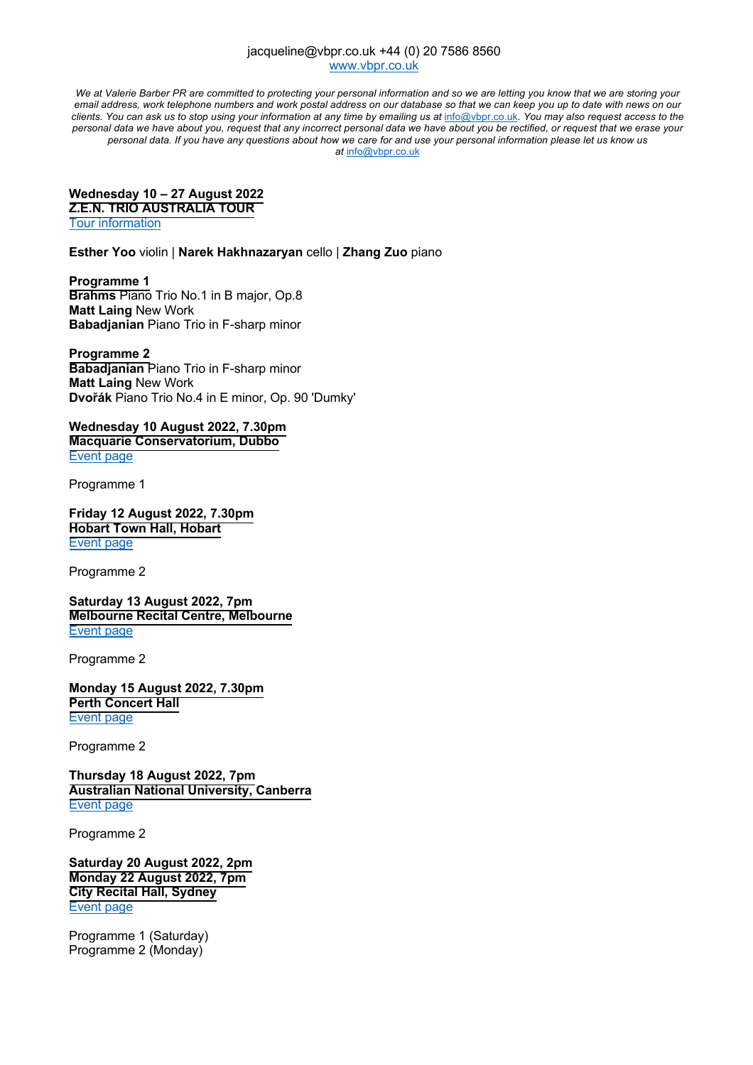## jacqueline@vbpr.co.uk +44 (0) 20 7586 8560 www.vbpr.co.uk

We at Valerie Barber PR are committed to protecting your personal information and so we are letting you know that we are storing your email address, work telephone numbers and work postal address on our database so that we can keep you up to date with news on our clients. You can ask us to stop using your information at any time by emailing us at info@vbpr.co.uk. You may also request access to the personal data we have about you, request that any incorrect personal data we have about you be rectified, or request that we erase your personal data. If you have any questions about how we care for and use your personal information please let us know us *at* info@vbpr.co.uk

## **Wednesday 10 – 27 August 2022 Z.E.N. TRIO AUSTRALIA TOUR**

Tour information

**Esther Yoo** violin | **Narek Hakhnazaryan** cello | **Zhang Zuo** piano

**Programme 1 Brahms** Piano Trio No.1 in B major, Op.8 **Matt Laing** New Work **Babadjanian** Piano Trio in F-sharp minor

**Programme 2 Babadjanian** Piano Trio in F-sharp minor **Matt Laing** New Work **Dvořák** Piano Trio No.4 in E minor, Op. 90 'Dumky'

**Wednesday 10 August 2022, 7.30pm Macquarie Conservatorium, Dubbo** Event page

Programme 1

**Friday 12 August 2022, 7.30pm Hobart Town Hall, Hobart** Event page

Programme 2

**Saturday 13 August 2022, 7pm Melbourne Recital Centre, Melbourne** Event page

Programme 2

**Monday 15 August 2022, 7.30pm Perth Concert Hall** Event page

Programme 2

**Thursday 18 August 2022, 7pm Australian National University, Canberra** Event page

Programme 2

**Saturday 20 August 2022, 2pm Monday 22 August 2022, 7pm City Recital Hall, Sydney** Event page

Programme 1 (Saturday) Programme 2 (Monday)